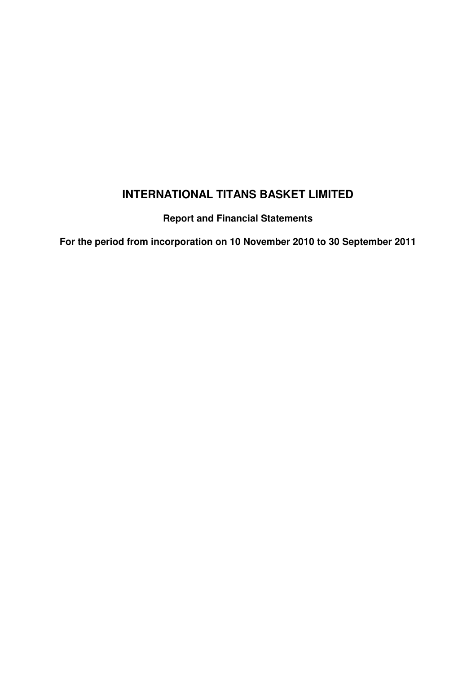**Report and Financial Statements**

**For the period from incorporation on 10 November 2010 to 30 September 2011**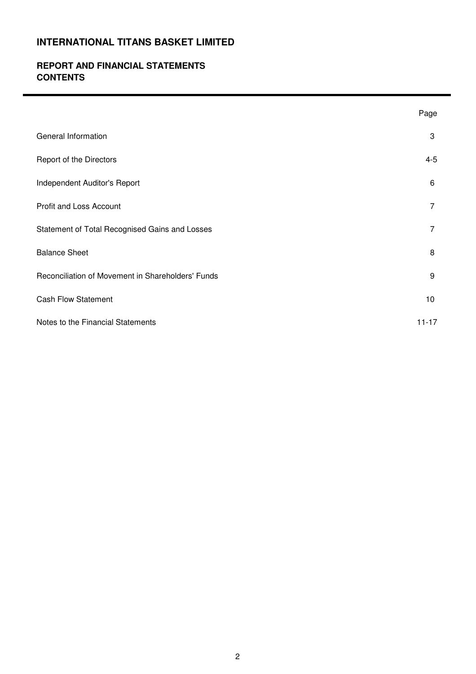### **REPORT AND FINANCIAL STATEMENTS CONTENTS**

|                                                   | Page      |
|---------------------------------------------------|-----------|
| General Information                               | 3         |
| Report of the Directors                           | $4 - 5$   |
| Independent Auditor's Report                      | 6         |
| Profit and Loss Account                           | 7         |
| Statement of Total Recognised Gains and Losses    | 7         |
| <b>Balance Sheet</b>                              | 8         |
| Reconciliation of Movement in Shareholders' Funds | 9         |
| <b>Cash Flow Statement</b>                        | 10        |
| Notes to the Financial Statements                 | $11 - 17$ |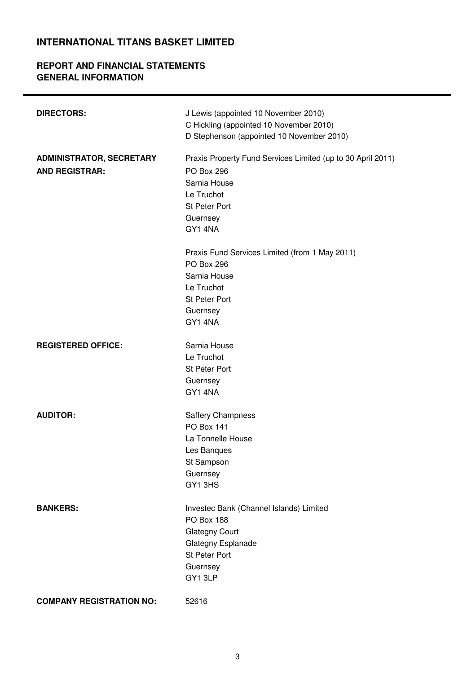### **REPORT AND FINANCIAL STATEMENTS GENERAL INFORMATION**

| <b>DIRECTORS:</b>                                        | J Lewis (appointed 10 November 2010)<br>C Hickling (appointed 10 November 2010)<br>D Stephenson (appointed 10 November 2010)                                  |
|----------------------------------------------------------|---------------------------------------------------------------------------------------------------------------------------------------------------------------|
| <b>ADMINISTRATOR, SECRETARY</b><br><b>AND REGISTRAR:</b> | Praxis Property Fund Services Limited (up to 30 April 2011)<br><b>PO Box 296</b><br>Sarnia House<br>Le Truchot<br><b>St Peter Port</b><br>Guernsey<br>GY1 4NA |
|                                                          | Praxis Fund Services Limited (from 1 May 2011)<br><b>PO Box 296</b><br>Sarnia House<br>Le Truchot<br>St Peter Port<br>Guernsey<br>GY1 4NA                     |
| <b>REGISTERED OFFICE:</b>                                | Sarnia House<br>Le Truchot<br>St Peter Port<br>Guernsey<br>GY1 4NA                                                                                            |
| <b>AUDITOR:</b>                                          | <b>Saffery Champness</b><br><b>PO Box 141</b><br>La Tonnelle House<br>Les Banques<br>St Sampson<br>Guernsey<br>GY1 3HS                                        |
| <b>BANKERS:</b>                                          | Investec Bank (Channel Islands) Limited<br><b>PO Box 188</b><br><b>Glategny Court</b><br>Glategny Esplanade<br>St Peter Port<br>Guernsey<br>GY1 3LP           |
| <b>COMPANY REGISTRATION NO:</b>                          | 52616                                                                                                                                                         |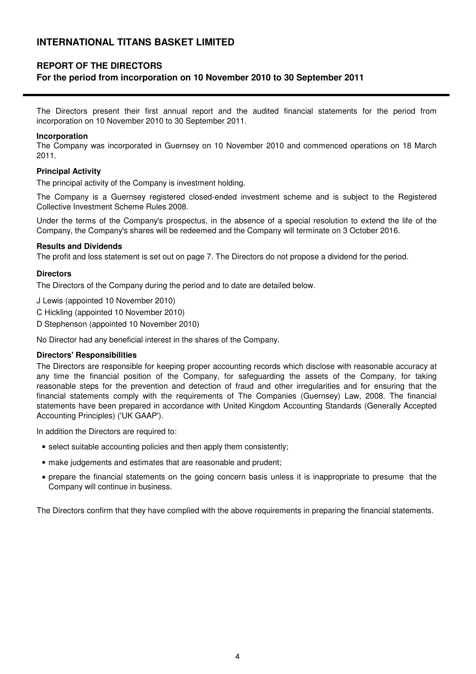### **REPORT OF THE DIRECTORS**

### **For the period from incorporation on 10 November 2010 to 30 September 2011**

The Directors present their first annual report and the audited financial statements for the period from incorporation on 10 November 2010 to 30 September 2011.

#### **Incorporation**

The Company was incorporated in Guernsey on 10 November 2010 and commenced operations on 18 March 2011.

#### **Principal Activity**

The principal activity of the Company is investment holding.

The Company is a Guernsey registered closed-ended investment scheme and is subject to the Registered Collective Investment Scheme Rules 2008.

Under the terms of the Company's prospectus, in the absence of a special resolution to extend the life of the Company, the Company's shares will be redeemed and the Company will terminate on 3 October 2016.

#### **Results and Dividends**

The profit and loss statement is set out on page 7. The Directors do not propose a dividend for the period.

#### **Directors**

The Directors of the Company during the period and to date are detailed below.

J Lewis (appointed 10 November 2010)

- C Hickling (appointed 10 November 2010)
- D Stephenson (appointed 10 November 2010)

No Director had any beneficial interest in the shares of the Company.

#### **Directors' Responsibilities**

The Directors are responsible for keeping proper accounting records which disclose with reasonable accuracy at any time the financial position of the Company, for safeguarding the assets of the Company, for taking reasonable steps for the prevention and detection of fraud and other irregularities and for ensuring that the financial statements comply with the requirements of The Companies (Guernsey) Law, 2008. The financial statements have been prepared in accordance with United Kingdom Accounting Standards (Generally Accepted Accounting Principles) ('UK GAAP').

In addition the Directors are required to:

- select suitable accounting policies and then apply them consistently;
- make judgements and estimates that are reasonable and prudent;
- prepare the financial statements on the going concern basis unless it is inappropriate to presume that the Company will continue in business.

The Directors confirm that they have complied with the above requirements in preparing the financial statements.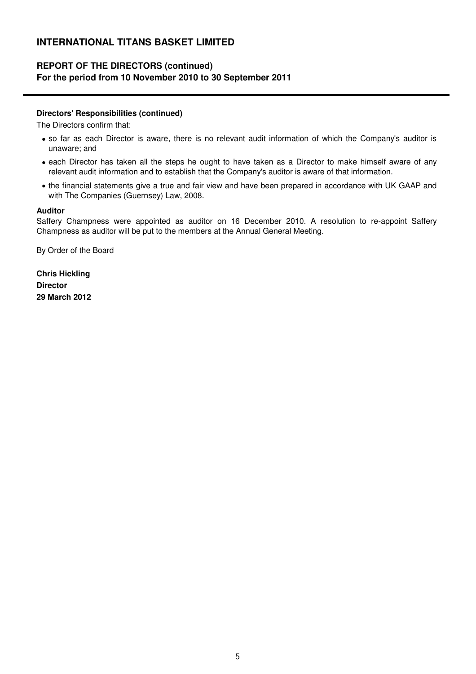### **REPORT OF THE DIRECTORS (continued) For the period from 10 November 2010 to 30 September 2011**

#### **Directors' Responsibilities (continued)**

The Directors confirm that:

- so far as each Director is aware, there is no relevant audit information of which the Company's auditor is unaware; and
- each Director has taken all the steps he ought to have taken as a Director to make himself aware of any relevant audit information and to establish that the Company's auditor is aware of that information.
- the financial statements give a true and fair view and have been prepared in accordance with UK GAAP and with The Companies (Guernsey) Law, 2008.

#### **Auditor**

Saffery Champness were appointed as auditor on 16 December 2010. A resolution to re-appoint Saffery Champness as auditor will be put to the members at the Annual General Meeting.

By Order of the Board

**Chris Hickling Director 29 March 2012**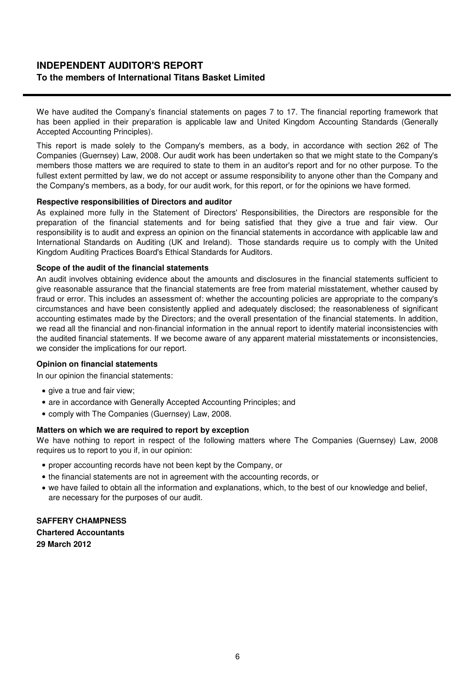### **INDEPENDENT AUDITOR'S REPORT To the members of International Titans Basket Limited**

We have audited the Company's financial statements on pages 7 to 17. The financial reporting framework that has been applied in their preparation is applicable law and United Kingdom Accounting Standards (Generally Accepted Accounting Principles).

This report is made solely to the Company's members, as a body, in accordance with section 262 of The Companies (Guernsey) Law, 2008. Our audit work has been undertaken so that we might state to the Company's members those matters we are required to state to them in an auditor's report and for no other purpose. To the fullest extent permitted by law, we do not accept or assume responsibility to anyone other than the Company and the Company's members, as a body, for our audit work, for this report, or for the opinions we have formed.

#### **Respective responsibilities of Directors and auditor**

As explained more fully in the Statement of Directors' Responsibilities, the Directors are responsible for the preparation of the financial statements and for being satisfied that they give a true and fair view. Our responsibility is to audit and express an opinion on the financial statements in accordance with applicable law and International Standards on Auditing (UK and Ireland). Those standards require us to comply with the United Kingdom Auditing Practices Board's Ethical Standards for Auditors.

#### **Scope of the audit of the financial statements**

An audit involves obtaining evidence about the amounts and disclosures in the financial statements sufficient to give reasonable assurance that the financial statements are free from material misstatement, whether caused by fraud or error. This includes an assessment of: whether the accounting policies are appropriate to the company's circumstances and have been consistently applied and adequately disclosed; the reasonableness of significant accounting estimates made by the Directors; and the overall presentation of the financial statements. In addition, we read all the financial and non-financial information in the annual report to identify material inconsistencies with the audited financial statements. If we become aware of any apparent material misstatements or inconsistencies, we consider the implications for our report.

#### **Opinion on financial statements**

In our opinion the financial statements:

- give a true and fair view:
- are in accordance with Generally Accepted Accounting Principles; and
- comply with The Companies (Guernsey) Law, 2008.

#### **Matters on which we are required to report by exception**

We have nothing to report in respect of the following matters where The Companies (Guernsey) Law, 2008 requires us to report to you if, in our opinion:

- proper accounting records have not been kept by the Company, or
- the financial statements are not in agreement with the accounting records, or
- we have failed to obtain all the information and explanations, which, to the best of our knowledge and belief, are necessary for the purposes of our audit.

### **SAFFERY CHAMPNESS**

**Chartered Accountants 29 March 2012**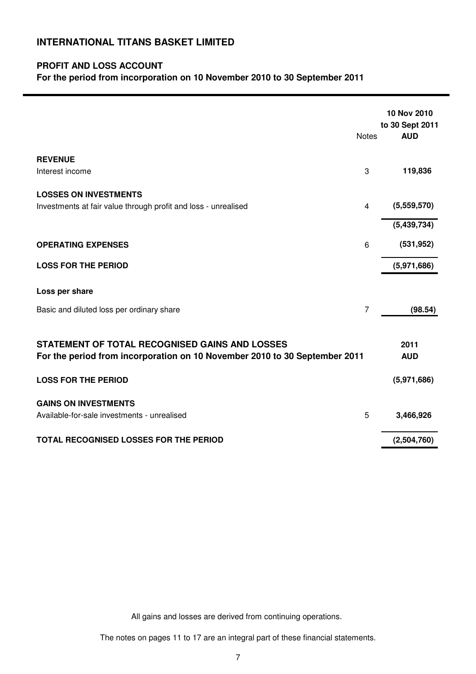### **PROFIT AND LOSS ACCOUNT**

**For the period from incorporation on 10 November 2010 to 30 September 2011**

|                                                                                                                              | <b>Notes</b>   | 10 Nov 2010<br>to 30 Sept 2011<br><b>AUD</b> |
|------------------------------------------------------------------------------------------------------------------------------|----------------|----------------------------------------------|
| <b>REVENUE</b><br>Interest income                                                                                            | 3              | 119,836                                      |
|                                                                                                                              |                |                                              |
| <b>LOSSES ON INVESTMENTS</b><br>Investments at fair value through profit and loss - unrealised                               | $\overline{4}$ | (5,559,570)                                  |
|                                                                                                                              |                | (5,439,734)                                  |
| <b>OPERATING EXPENSES</b>                                                                                                    | 6              | (531, 952)                                   |
| <b>LOSS FOR THE PERIOD</b>                                                                                                   |                | (5,971,686)                                  |
| Loss per share                                                                                                               |                |                                              |
| Basic and diluted loss per ordinary share                                                                                    | $\overline{7}$ | (98.54)                                      |
|                                                                                                                              |                |                                              |
| STATEMENT OF TOTAL RECOGNISED GAINS AND LOSSES<br>For the period from incorporation on 10 November 2010 to 30 September 2011 |                | 2011<br><b>AUD</b>                           |
| <b>LOSS FOR THE PERIOD</b>                                                                                                   |                | (5,971,686)                                  |
| <b>GAINS ON INVESTMENTS</b>                                                                                                  |                |                                              |
| Available-for-sale investments - unrealised                                                                                  | 5              | 3,466,926                                    |
| TOTAL RECOGNISED LOSSES FOR THE PERIOD                                                                                       |                | (2,504,760)                                  |

All gains and losses are derived from continuing operations.

The notes on pages 11 to 17 are an integral part of these financial statements.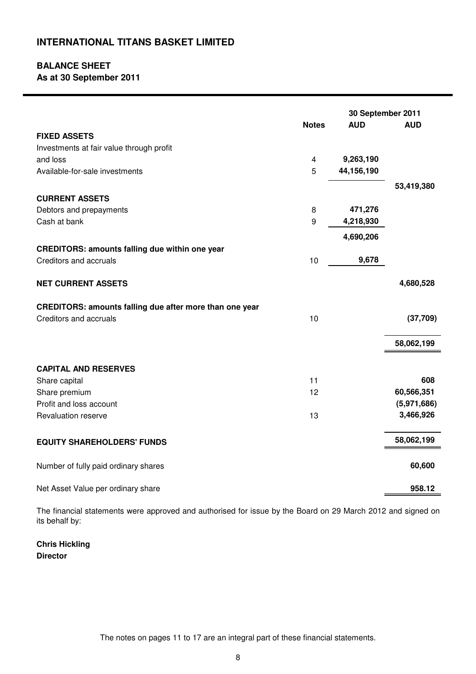# **BALANCE SHEET**

**As at 30 September 2011**

|                                                                |                | 30 September 2011 |             |
|----------------------------------------------------------------|----------------|-------------------|-------------|
|                                                                | <b>Notes</b>   | <b>AUD</b>        | <b>AUD</b>  |
| <b>FIXED ASSETS</b>                                            |                |                   |             |
| Investments at fair value through profit                       |                |                   |             |
| and loss                                                       | $\overline{4}$ | 9,263,190         |             |
| Available-for-sale investments                                 | 5              | 44,156,190        |             |
|                                                                |                |                   | 53,419,380  |
| <b>CURRENT ASSETS</b>                                          |                |                   |             |
| Debtors and prepayments                                        | 8              | 471,276           |             |
| Cash at bank                                                   | 9              | 4,218,930         |             |
|                                                                |                | 4,690,206         |             |
| <b>CREDITORS: amounts falling due within one year</b>          |                |                   |             |
| Creditors and accruals                                         | 10             | 9,678             |             |
|                                                                |                |                   |             |
| <b>NET CURRENT ASSETS</b>                                      |                |                   | 4,680,528   |
|                                                                |                |                   |             |
| <b>CREDITORS: amounts falling due after more than one year</b> |                |                   |             |
| Creditors and accruals                                         | 10             |                   | (37,709)    |
|                                                                |                |                   |             |
|                                                                |                |                   | 58,062,199  |
| <b>CAPITAL AND RESERVES</b>                                    |                |                   |             |
| Share capital                                                  | 11             |                   | 608         |
| Share premium                                                  | 12             |                   | 60,566,351  |
| Profit and loss account                                        |                |                   | (5,971,686) |
| Revaluation reserve                                            | 13             |                   | 3,466,926   |
|                                                                |                |                   |             |
| <b>EQUITY SHAREHOLDERS' FUNDS</b>                              |                |                   | 58,062,199  |
|                                                                |                |                   |             |
| Number of fully paid ordinary shares                           |                |                   | 60,600      |
|                                                                |                |                   |             |
| Net Asset Value per ordinary share                             |                |                   | 958.12      |

The financial statements were approved and authorised for issue by the Board on 29 March 2012 and signed on its behalf by:

**Chris Hickling Director**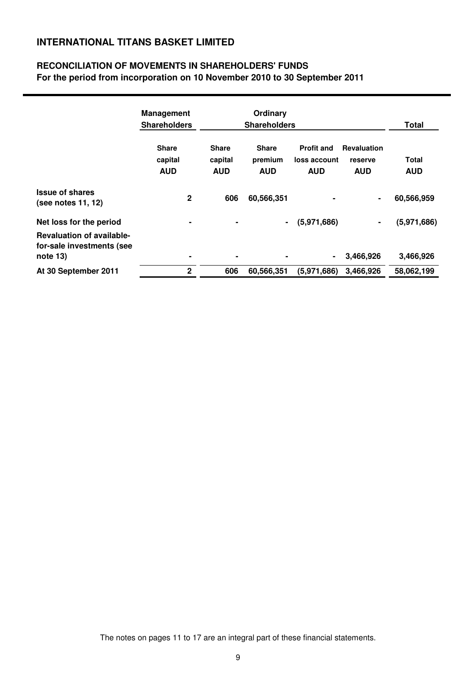### **RECONCILIATION OF MOVEMENTS IN SHAREHOLDERS' FUNDS For the period from incorporation on 10 November 2010 to 30 September 2011**

|                                                                                                      | <b>Management</b><br><b>Shareholders</b> |                                       | Ordinary<br><b>Shareholders</b>       |                                                 |                                             | Total                      |
|------------------------------------------------------------------------------------------------------|------------------------------------------|---------------------------------------|---------------------------------------|-------------------------------------------------|---------------------------------------------|----------------------------|
|                                                                                                      | <b>Share</b><br>capital<br><b>AUD</b>    | <b>Share</b><br>capital<br><b>AUD</b> | <b>Share</b><br>premium<br><b>AUD</b> | <b>Profit and</b><br>loss account<br><b>AUD</b> | <b>Revaluation</b><br>reserve<br><b>AUD</b> | <b>Total</b><br><b>AUD</b> |
| <b>Issue of shares</b><br>(see notes 11, 12)                                                         | $\mathbf 2$                              | 606                                   | 60,566,351                            |                                                 | ۰                                           | 60,566,959                 |
| Net loss for the period<br><b>Revaluation of available-</b><br>for-sale investments (see<br>note 13) | $\blacksquare$<br>٠                      | $\blacksquare$                        | $\blacksquare$                        | (5,971,686)<br>$\blacksquare$                   | $\blacksquare$<br>3,466,926                 | (5,971,686)<br>3,466,926   |
| At 30 September 2011                                                                                 | $\mathbf 2$                              | 606                                   | 60,566,351                            | (5,971,686)                                     | 3,466,926                                   | 58,062,199                 |

The notes on pages 11 to 17 are an integral part of these financial statements.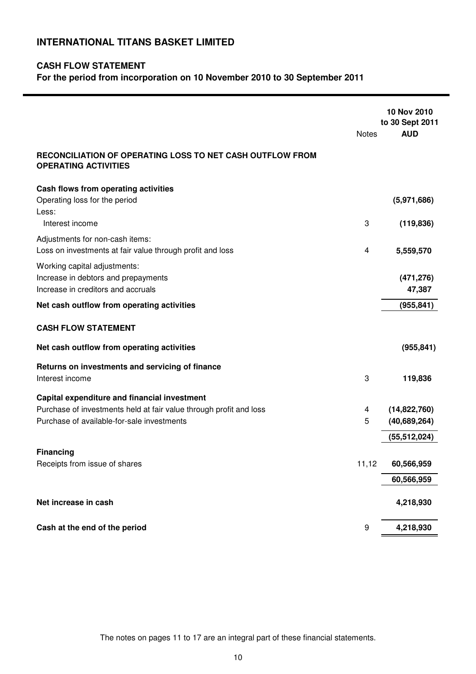### **CASH FLOW STATEMENT**

**For the period from incorporation on 10 November 2010 to 30 September 2011**

|                                                                                          | <b>Notes</b> | 10 Nov 2010<br>to 30 Sept 2011<br><b>AUD</b> |
|------------------------------------------------------------------------------------------|--------------|----------------------------------------------|
| RECONCILIATION OF OPERATING LOSS TO NET CASH OUTFLOW FROM<br><b>OPERATING ACTIVITIES</b> |              |                                              |
| Cash flows from operating activities                                                     |              |                                              |
| Operating loss for the period<br>Less:                                                   |              | (5,971,686)                                  |
| Interest income                                                                          | 3            | (119, 836)                                   |
| Adjustments for non-cash items:                                                          |              |                                              |
| Loss on investments at fair value through profit and loss                                | 4            | 5,559,570                                    |
| Working capital adjustments:                                                             |              |                                              |
| Increase in debtors and prepayments<br>Increase in creditors and accruals                |              | (471, 276)<br>47,387                         |
| Net cash outflow from operating activities                                               |              | (955, 841)                                   |
|                                                                                          |              |                                              |
| <b>CASH FLOW STATEMENT</b>                                                               |              |                                              |
| Net cash outflow from operating activities                                               |              | (955, 841)                                   |
| Returns on investments and servicing of finance                                          |              |                                              |
| Interest income                                                                          | 3            | 119,836                                      |
| Capital expenditure and financial investment                                             |              |                                              |
| Purchase of investments held at fair value through profit and loss                       | 4            | (14,822,760)                                 |
| Purchase of available-for-sale investments                                               | 5            | (40, 689, 264)                               |
|                                                                                          |              | (55, 512, 024)                               |
| <b>Financing</b><br>Receipts from issue of shares                                        | 11,12        | 60,566,959                                   |
|                                                                                          |              |                                              |
|                                                                                          |              | 60,566,959                                   |
| Net increase in cash                                                                     |              | 4,218,930                                    |
| Cash at the end of the period                                                            | 9            | 4,218,930                                    |
|                                                                                          |              |                                              |

The notes on pages 11 to 17 are an integral part of these financial statements.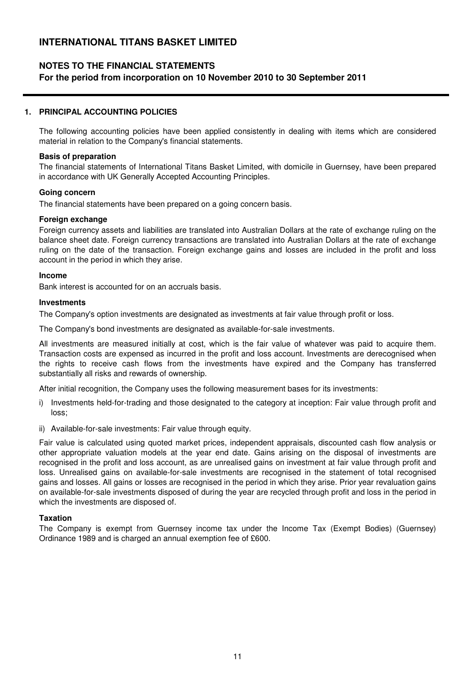### **NOTES TO THE FINANCIAL STATEMENTS**

#### **For the period from incorporation on 10 November 2010 to 30 September 2011**

#### **1. PRINCIPAL ACCOUNTING POLICIES**

The following accounting policies have been applied consistently in dealing with items which are considered material in relation to the Company's financial statements.

#### **Basis of preparation**

The financial statements of International Titans Basket Limited, with domicile in Guernsey, have been prepared in accordance with UK Generally Accepted Accounting Principles.

#### **Going concern**

The financial statements have been prepared on a going concern basis.

#### **Foreign exchange**

Foreign currency assets and liabilities are translated into Australian Dollars at the rate of exchange ruling on the balance sheet date. Foreign currency transactions are translated into Australian Dollars at the rate of exchange ruling on the date of the transaction. Foreign exchange gains and losses are included in the profit and loss account in the period in which they arise.

#### **Income**

Bank interest is accounted for on an accruals basis.

#### **Investments**

The Company's option investments are designated as investments at fair value through profit or loss.

The Company's bond investments are designated as available-for-sale investments.

All investments are measured initially at cost, which is the fair value of whatever was paid to acquire them. Transaction costs are expensed as incurred in the profit and loss account. Investments are derecognised when the rights to receive cash flows from the investments have expired and the Company has transferred substantially all risks and rewards of ownership.

After initial recognition, the Company uses the following measurement bases for its investments:

- i) Investments held-for-trading and those designated to the category at inception: Fair value through profit and loss;
- ii) Available-for-sale investments: Fair value through equity.

Fair value is calculated using quoted market prices, independent appraisals, discounted cash flow analysis or other appropriate valuation models at the year end date. Gains arising on the disposal of investments are recognised in the profit and loss account, as are unrealised gains on investment at fair value through profit and loss. Unrealised gains on available-for-sale investments are recognised in the statement of total recognised gains and losses. All gains or losses are recognised in the period in which they arise. Prior year revaluation gains on available-for-sale investments disposed of during the year are recycled through profit and loss in the period in which the investments are disposed of.

#### **Taxation**

The Company is exempt from Guernsey income tax under the Income Tax (Exempt Bodies) (Guernsey) Ordinance 1989 and is charged an annual exemption fee of £600.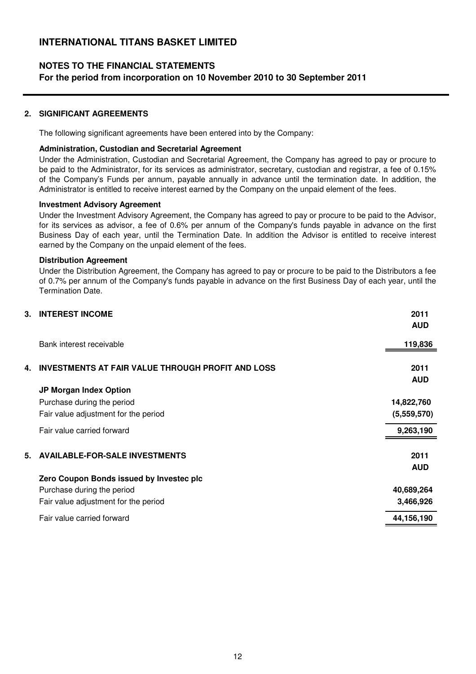### **NOTES TO THE FINANCIAL STATEMENTS**

**For the period from incorporation on 10 November 2010 to 30 September 2011**

#### **2. SIGNIFICANT AGREEMENTS**

The following significant agreements have been entered into by the Company:

#### **Administration, Custodian and Secretarial Agreement**

Under the Administration, Custodian and Secretarial Agreement, the Company has agreed to pay or procure to be paid to the Administrator, for its services as administrator, secretary, custodian and registrar, a fee of 0.15% of the Company's Funds per annum, payable annually in advance until the termination date. In addition, the Administrator is entitled to receive interest earned by the Company on the unpaid element of the fees.

#### **Investment Advisory Agreement**

Under the Investment Advisory Agreement, the Company has agreed to pay or procure to be paid to the Advisor, for its services as advisor, a fee of 0.6% per annum of the Company's funds payable in advance on the first Business Day of each year, until the Termination Date. In addition the Advisor is entitled to receive interest earned by the Company on the unpaid element of the fees.

#### **Distribution Agreement**

Under the Distribution Agreement, the Company has agreed to pay or procure to be paid to the Distributors a fee of 0.7% per annum of the Company's funds payable in advance on the first Business Day of each year, until the Termination Date.

| 3. | <b>INTEREST INCOME</b>                                   | 2011<br><b>AUD</b> |
|----|----------------------------------------------------------|--------------------|
|    | Bank interest receivable                                 | 119,836            |
| 4. | <b>INVESTMENTS AT FAIR VALUE THROUGH PROFIT AND LOSS</b> | 2011<br><b>AUD</b> |
|    | JP Morgan Index Option                                   |                    |
|    | Purchase during the period                               | 14,822,760         |
|    | Fair value adjustment for the period                     | (5,559,570)        |
|    | Fair value carried forward                               | 9,263,190          |
| 5. | <b>AVAILABLE-FOR-SALE INVESTMENTS</b>                    | 2011<br><b>AUD</b> |
|    | Zero Coupon Bonds issued by Investec plc                 |                    |
|    | Purchase during the period                               | 40,689,264         |
|    | Fair value adjustment for the period                     | 3,466,926          |
|    | Fair value carried forward                               | 44,156,190         |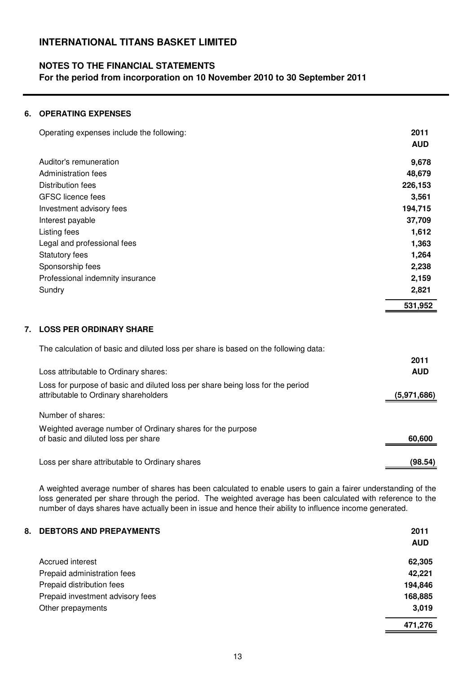### **NOTES TO THE FINANCIAL STATEMENTS**

**For the period from incorporation on 10 November 2010 to 30 September 2011**

#### **6. OPERATING EXPENSES**

|    | Operating expenses include the following:                                           | 2011       |
|----|-------------------------------------------------------------------------------------|------------|
|    |                                                                                     | <b>AUD</b> |
|    | Auditor's remuneration                                                              | 9,678      |
|    | Administration fees                                                                 | 48,679     |
|    | Distribution fees                                                                   | 226,153    |
|    | <b>GFSC</b> licence fees                                                            | 3,561      |
|    | Investment advisory fees                                                            | 194,715    |
|    | Interest payable                                                                    | 37,709     |
|    | Listing fees                                                                        | 1,612      |
|    | Legal and professional fees                                                         | 1,363      |
|    | <b>Statutory fees</b>                                                               | 1,264      |
|    | Sponsorship fees                                                                    | 2,238      |
|    | Professional indemnity insurance                                                    | 2,159      |
|    | Sundry                                                                              | 2,821      |
|    |                                                                                     | 531,952    |
| 7. | <b>LOSS PER ORDINARY SHARE</b>                                                      |            |
|    | The calculation of basic and diluted loss per share is based on the following data: |            |
|    |                                                                                     | 2011       |
|    |                                                                                     |            |

| Loss attributable to Ordinary shares:                                                                                   | <b>AUD</b>  |
|-------------------------------------------------------------------------------------------------------------------------|-------------|
| Loss for purpose of basic and diluted loss per share being loss for the period<br>attributable to Ordinary shareholders | (5,971,686) |
| Number of shares:                                                                                                       |             |
| Weighted average number of Ordinary shares for the purpose<br>of basic and diluted loss per share                       | 60,600      |
|                                                                                                                         |             |
| Loss per share attributable to Ordinary shares                                                                          | (98.54)     |

A weighted average number of shares has been calculated to enable users to gain a fairer understanding of the loss generated per share through the period. The weighted average has been calculated with reference to the number of days shares have actually been in issue and hence their ability to influence income generated.

| 8. DEBTORS AND PREPAYMENTS       | 2011       |
|----------------------------------|------------|
|                                  | <b>AUD</b> |
| Accrued interest                 | 62,305     |
| Prepaid administration fees      | 42,221     |
| Prepaid distribution fees        | 194,846    |
| Prepaid investment advisory fees | 168,885    |
| Other prepayments                | 3,019      |
|                                  | 471,276    |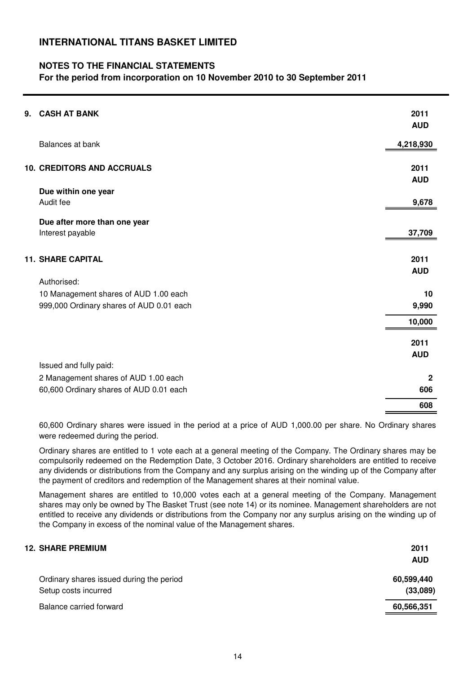### **NOTES TO THE FINANCIAL STATEMENTS**

**For the period from incorporation on 10 November 2010 to 30 September 2011**

| 9. | <b>CASH AT BANK</b>                      | 2011         |
|----|------------------------------------------|--------------|
|    |                                          | <b>AUD</b>   |
|    | Balances at bank                         | 4,218,930    |
|    | <b>10. CREDITORS AND ACCRUALS</b>        | 2011         |
|    |                                          | <b>AUD</b>   |
|    | Due within one year<br>Audit fee         | 9,678        |
|    | Due after more than one year             |              |
|    | Interest payable                         | 37,709       |
|    | <b>11. SHARE CAPITAL</b>                 | 2011         |
|    |                                          | <b>AUD</b>   |
|    | Authorised:                              |              |
|    | 10 Management shares of AUD 1.00 each    | 10           |
|    | 999,000 Ordinary shares of AUD 0.01 each | 9,990        |
|    |                                          | 10,000       |
|    |                                          | 2011         |
|    |                                          | <b>AUD</b>   |
|    | Issued and fully paid:                   |              |
|    | 2 Management shares of AUD 1.00 each     | $\mathbf{2}$ |
|    | 60,600 Ordinary shares of AUD 0.01 each  | 606          |
|    |                                          | 608          |

60,600 Ordinary shares were issued in the period at a price of AUD 1,000.00 per share. No Ordinary shares were redeemed during the period.

Ordinary shares are entitled to 1 vote each at a general meeting of the Company. The Ordinary shares may be compulsorily redeemed on the Redemption Date, 3 October 2016. Ordinary shareholders are entitled to receive any dividends or distributions from the Company and any surplus arising on the winding up of the Company after the payment of creditors and redemption of the Management shares at their nominal value.

Management shares are entitled to 10,000 votes each at a general meeting of the Company. Management shares may only be owned by The Basket Trust (see note 14) or its nominee. Management shareholders are not entitled to receive any dividends or distributions from the Company nor any surplus arising on the winding up of the Company in excess of the nominal value of the Management shares.

| 2011       |
|------------|
| <b>AUD</b> |
| 60,599,440 |
| (33,089)   |
| 60,566,351 |
|            |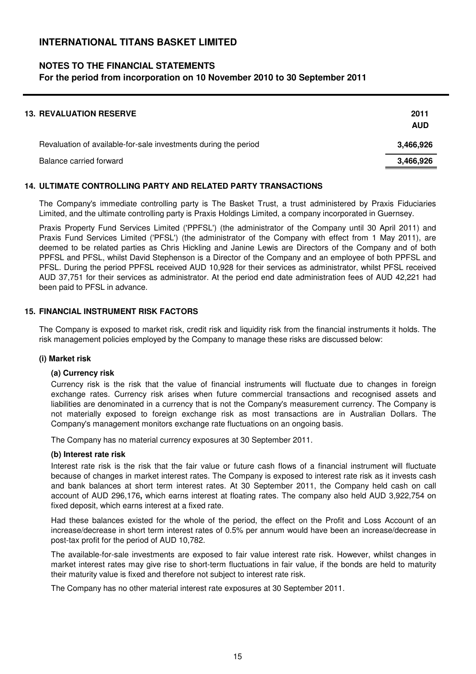### **NOTES TO THE FINANCIAL STATEMENTS**

#### **For the period from incorporation on 10 November 2010 to 30 September 2011**

| <b>13. REVALUATION RESERVE</b>                                  | 2011<br><b>AUD</b> |
|-----------------------------------------------------------------|--------------------|
| Revaluation of available-for-sale investments during the period | 3,466,926          |
| Balance carried forward                                         | 3,466,926          |

#### **14. ULTIMATE CONTROLLING PARTY AND RELATED PARTY TRANSACTIONS**

The Company's immediate controlling party is The Basket Trust, a trust administered by Praxis Fiduciaries Limited, and the ultimate controlling party is Praxis Holdings Limited, a company incorporated in Guernsey.

Praxis Property Fund Services Limited ('PPFSL') (the administrator of the Company until 30 April 2011) and Praxis Fund Services Limited ('PFSL') (the administrator of the Company with effect from 1 May 2011), are deemed to be related parties as Chris Hickling and Janine Lewis are Directors of the Company and of both PPFSL and PFSL, whilst David Stephenson is a Director of the Company and an employee of both PPFSL and PFSL. During the period PPFSL received AUD 10,928 for their services as administrator, whilst PFSL received AUD 37,751 for their services as administrator. At the period end date administration fees of AUD 42,221 had been paid to PFSL in advance.

#### **15. FINANCIAL INSTRUMENT RISK FACTORS**

The Company is exposed to market risk, credit risk and liquidity risk from the financial instruments it holds. The risk management policies employed by the Company to manage these risks are discussed below:

#### **(i) Market risk**

#### **(a) Currency risk**

Currency risk is the risk that the value of financial instruments will fluctuate due to changes in foreign exchange rates. Currency risk arises when future commercial transactions and recognised assets and liabilities are denominated in a currency that is not the Company's measurement currency. The Company is not materially exposed to foreign exchange risk as most transactions are in Australian Dollars. The Company's management monitors exchange rate fluctuations on an ongoing basis.

The Company has no material currency exposures at 30 September 2011.

#### **(b) Interest rate risk**

Interest rate risk is the risk that the fair value or future cash flows of a financial instrument will fluctuate because of changes in market interest rates. The Company is exposed to interest rate risk as it invests cash and bank balances at short term interest rates. At 30 September 2011, the Company held cash on call account of AUD 296,176**,** which earns interest at floating rates. The company also held AUD 3,922,754 on fixed deposit, which earns interest at a fixed rate.

Had these balances existed for the whole of the period, the effect on the Profit and Loss Account of an increase/decrease in short term interest rates of 0.5% per annum would have been an increase/decrease in post-tax profit for the period of AUD 10,782.

The available-for-sale investments are exposed to fair value interest rate risk. However, whilst changes in market interest rates may give rise to short-term fluctuations in fair value, if the bonds are held to maturity their maturity value is fixed and therefore not subject to interest rate risk.

The Company has no other material interest rate exposures at 30 September 2011.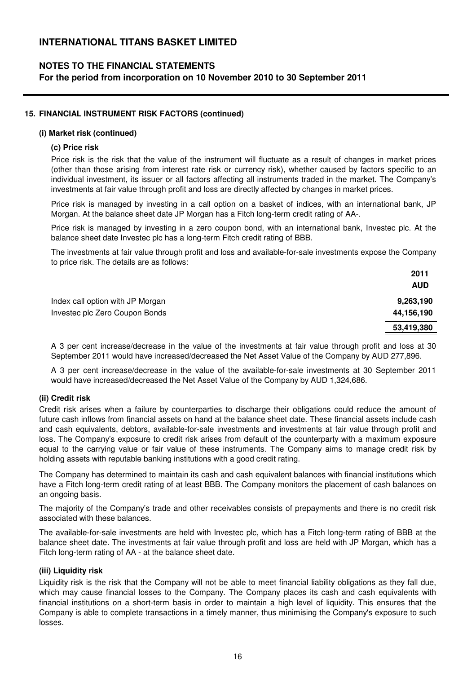### **NOTES TO THE FINANCIAL STATEMENTS**

**For the period from incorporation on 10 November 2010 to 30 September 2011**

#### **15. FINANCIAL INSTRUMENT RISK FACTORS (continued)**

#### **(i) Market risk (continued)**

#### **(c) Price risk**

Price risk is the risk that the value of the instrument will fluctuate as a result of changes in market prices (other than those arising from interest rate risk or currency risk), whether caused by factors specific to an individual investment, its issuer or all factors affecting all instruments traded in the market. The Company's investments at fair value through profit and loss are directly affected by changes in market prices.

Price risk is managed by investing in a call option on a basket of indices, with an international bank, JP Morgan. At the balance sheet date JP Morgan has a Fitch long-term credit rating of AA-.

Price risk is managed by investing in a zero coupon bond, with an international bank, Investec plc. At the balance sheet date Investec plc has a long-term Fitch credit rating of BBB.

The investments at fair value through profit and loss and available-for-sale investments expose the Company to price risk. The details are as follows:

|                                  | 2011       |
|----------------------------------|------------|
|                                  | <b>AUD</b> |
| Index call option with JP Morgan | 9,263,190  |
| Investec plc Zero Coupon Bonds   | 44,156,190 |
|                                  | 53,419,380 |

A 3 per cent increase/decrease in the value of the investments at fair value through profit and loss at 30 September 2011 would have increased/decreased the Net Asset Value of the Company by AUD 277,896.

A 3 per cent increase/decrease in the value of the available-for-sale investments at 30 September 2011 would have increased/decreased the Net Asset Value of the Company by AUD 1,324,686.

#### **(ii) Credit risk**

Credit risk arises when a failure by counterparties to discharge their obligations could reduce the amount of future cash inflows from financial assets on hand at the balance sheet date. These financial assets include cash and cash equivalents, debtors, available-for-sale investments and investments at fair value through profit and loss. The Company's exposure to credit risk arises from default of the counterparty with a maximum exposure equal to the carrying value or fair value of these instruments. The Company aims to manage credit risk by holding assets with reputable banking institutions with a good credit rating.

The Company has determined to maintain its cash and cash equivalent balances with financial institutions which have a Fitch long-term credit rating of at least BBB. The Company monitors the placement of cash balances on an ongoing basis.

The majority of the Company's trade and other receivables consists of prepayments and there is no credit risk associated with these balances.

The available-for-sale investments are held with Investec plc, which has a Fitch long-term rating of BBB at the balance sheet date. The investments at fair value through profit and loss are held with JP Morgan, which has a Fitch long-term rating of AA - at the balance sheet date.

#### **(iii) Liquidity risk**

Liquidity risk is the risk that the Company will not be able to meet financial liability obligations as they fall due, which may cause financial losses to the Company. The Company places its cash and cash equivalents with financial institutions on a short-term basis in order to maintain a high level of liquidity. This ensures that the Company is able to complete transactions in a timely manner, thus minimising the Company's exposure to such losses.